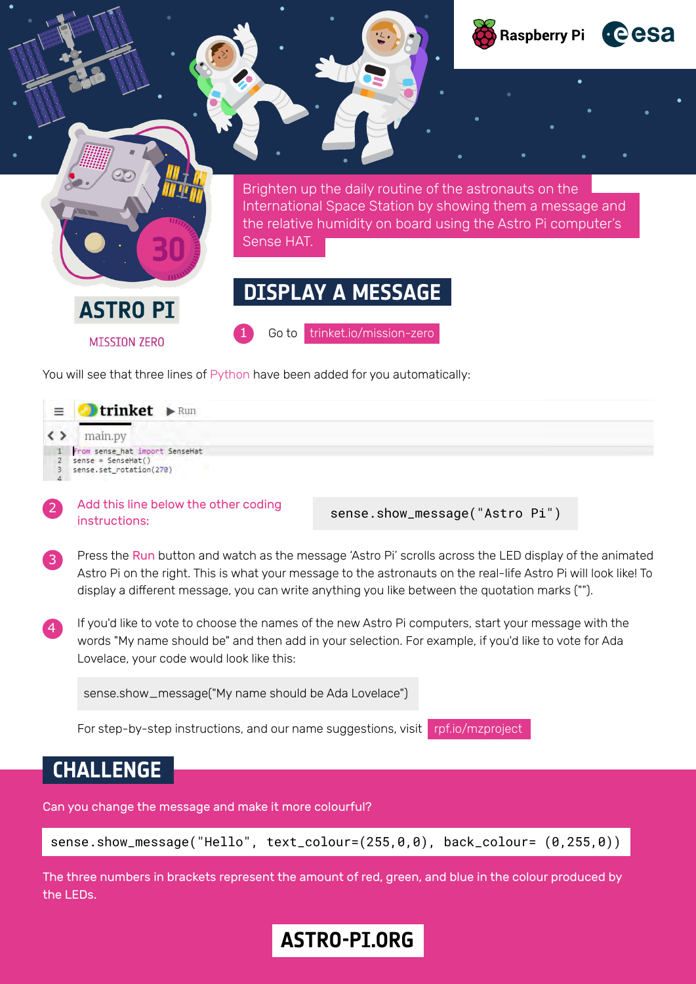

You will see that three lines of Python have been added for you automatically:

| $\equiv$ | trinket <b>&gt; Run</b>                                                                 |  |
|----------|-----------------------------------------------------------------------------------------|--|
|          | main.py                                                                                 |  |
|          | 1 From sense_hat import SenseHat<br>$2$ sense = SenseHat()<br>3 sense.set_rotation(270) |  |

Add this line below the other coding instructions:

sense.show\_message("Astro Pi")

- Press the Run button and watch as the message 'Astro Pi' scrolls across the LED display of the animated Astro Pi on the right. This is what your message to the astronauts on the real-life Astro Pi will look like! To display a different message, you can write anything you like between the quotation marks (""). 3
- If you'd like to vote to choose the names of the new Astro Pi computers, start your message with the words "My name should be" and then add in your selection. For example, if you'd like to vote for Ada Lovelace, your code would look like this:



For step-by-step instructions, and our name suggestions, visit [rpf.io/mzproject](https://projects.raspberrypi.org/en/projects/astro-pi-mission-zero)

### **CHALLENGE**

2

Can you change the message and make it more colourful?

```
sense.show_message("Hello", text_colour=(255,0,0), back_colour= (0,255,0))
```
The three numbers in brackets represent the amount of red, green, and blue in the colour produced by the LEDs.

# **ASTRO-PI.ORG ASTRO-PI.ORG**